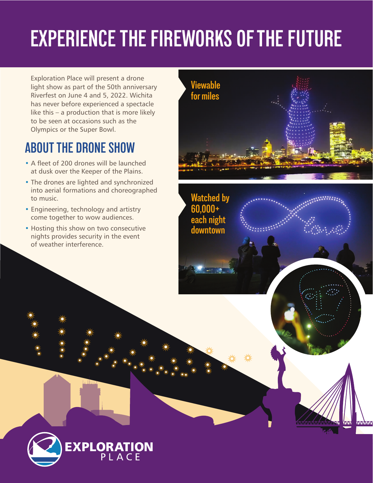# **EXPERIENCE THE FIREWORKS OF THE FUTURE**

Exploration Place will present a drone light show as part of the 50th anniversary Riverfest on June 4 and 5, 2022. Wichita has never before experienced a spectacle like this – a production that is more likely to be seen at occasions such as the Olympics or the Super Bowl.

# **ABOUT THE DRONE SHOW**

- A fleet of 200 drones will be launched at dusk over the Keeper of the Plains.
- The drones are lighted and synchronized into aerial formations and choreographed to music.
- Engineering, technology and artistry come together to wow audiences.
- Hosting this show on two consecutive nights provides security in the event of weather interference.



**Watched by 60,000+ each night downtown**